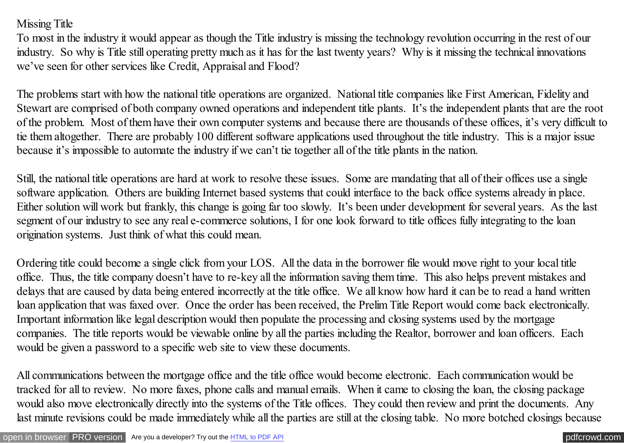## Missing Title

To most in the industry it would appear as though the Title industry is missing the technology revolution occurring in the rest of our industry. So why is Title still operating pretty much as it has for the last twenty years? Why is it missing the technical innovations we've seen for other services like Credit, Appraisal and Flood?

The problems start with how the national title operations are organized. National title companies like First American, Fidelity and Stewart are comprised of both company owned operations and independent title plants. It's the independent plants that are the root of the problem. Most of them have their own computer systems and because there are thousands of these offices, it's very difficult to tie them altogether. There are probably 100 different software applications used throughout the title industry. This is a major issue because it's impossible to automate the industry if we can't tie together all of the title plants in the nation.

Still, the national title operations are hard at work to resolve these issues. Some are mandating that all of their offices use a single software application. Others are building Internet based systems that could interface to the back office systems already in place. Either solution will work but frankly, this change is going far too slowly. It's been under development for several years. As the last segment of our industry to see any real e-commerce solutions, I for one look forward to title offices fully integrating to the loan origination systems. Just think of what this could mean.

Ordering title could become a single click from your LOS. All the data in the borrower file would move right to your local title office. Thus, the title company doesn't have to re-key all the information saving them time. This also helps prevent mistakes and delays that are caused by data being entered incorrectly at the title office. We all know how hard it can be to read a hand written loan application that was faxed over. Once the order has been received, the Prelim Title Report would come back electronically. Important information like legal description would then populate the processing and closing systems used by the mortgage companies. The title reports would be viewable online by all the parties including the Realtor, borrower and loan officers. Each would be given a password to a specific web site to view these documents.

All communications between the mortgage office and the title office would become electronic. Each communication would be tracked for all to review. No more faxes, phone calls and manual emails. When it came to closing the loan, the closing package would also move electronically directly into the systems of the Title offices. They could then review and print the documents. Any last minute revisions could be made immediately while all the parties are still at the closing table. No more botched closings because